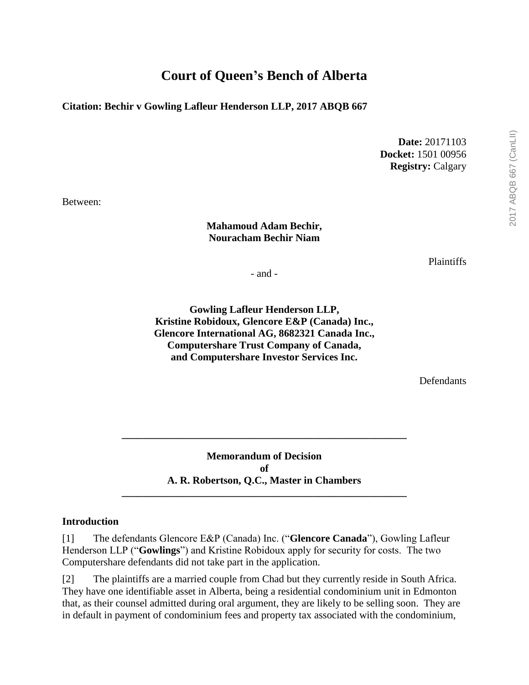# **Court of Queen's Bench of Alberta**

### **Citation: Bechir v Gowling Lafleur Henderson LLP, 2017 ABQB 667**

**Date:** 20171103 **Docket:** 1501 00956 **Registry:** Calgary

Between:

#### **Mahamoud Adam Bechir, Nouracham Bechir Niam**

**Plaintiffs** 

- and -

**Gowling Lafleur Henderson LLP, Kristine Robidoux, Glencore E&P (Canada) Inc., Glencore International AG, 8682321 Canada Inc., Computershare Trust Company of Canada, and Computershare Investor Services Inc.**

Defendants

**Memorandum of Decision of A. R. Robertson, Q.C., Master in Chambers \_\_\_\_\_\_\_\_\_\_\_\_\_\_\_\_\_\_\_\_\_\_\_\_\_\_\_\_\_\_\_\_\_\_\_\_\_\_\_\_\_\_\_\_\_\_\_\_\_\_\_\_\_\_\_**

**\_\_\_\_\_\_\_\_\_\_\_\_\_\_\_\_\_\_\_\_\_\_\_\_\_\_\_\_\_\_\_\_\_\_\_\_\_\_\_\_\_\_\_\_\_\_\_\_\_\_\_\_\_\_\_**

#### **Introduction**

[1] The defendants Glencore E&P (Canada) Inc. ("**Glencore Canada**"), Gowling Lafleur Henderson LLP ("**Gowlings**") and Kristine Robidoux apply for security for costs. The two Computershare defendants did not take part in the application.

[2] The plaintiffs are a married couple from Chad but they currently reside in South Africa. They have one identifiable asset in Alberta, being a residential condominium unit in Edmonton that, as their counsel admitted during oral argument, they are likely to be selling soon. They are in default in payment of condominium fees and property tax associated with the condominium,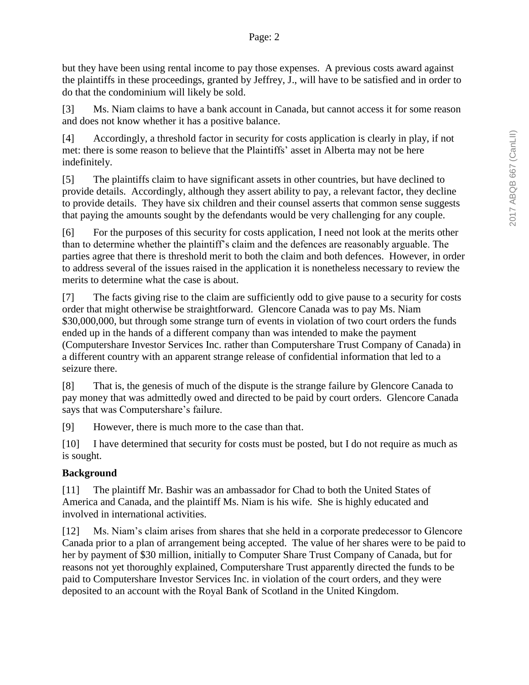but they have been using rental income to pay those expenses. A previous costs award against the plaintiffs in these proceedings, granted by Jeffrey, J., will have to be satisfied and in order to do that the condominium will likely be sold.

[3] Ms. Niam claims to have a bank account in Canada, but cannot access it for some reason and does not know whether it has a positive balance.

[4] Accordingly, a threshold factor in security for costs application is clearly in play, if not met: there is some reason to believe that the Plaintiffs' asset in Alberta may not be here indefinitely.

[5] The plaintiffs claim to have significant assets in other countries, but have declined to provide details. Accordingly, although they assert ability to pay, a relevant factor, they decline to provide details. They have six children and their counsel asserts that common sense suggests that paying the amounts sought by the defendants would be very challenging for any couple.

[6] For the purposes of this security for costs application, I need not look at the merits other than to determine whether the plaintiff's claim and the defences are reasonably arguable. The parties agree that there is threshold merit to both the claim and both defences. However, in order to address several of the issues raised in the application it is nonetheless necessary to review the merits to determine what the case is about.

[7] The facts giving rise to the claim are sufficiently odd to give pause to a security for costs order that might otherwise be straightforward. Glencore Canada was to pay Ms. Niam \$30,000,000, but through some strange turn of events in violation of two court orders the funds ended up in the hands of a different company than was intended to make the payment (Computershare Investor Services Inc. rather than Computershare Trust Company of Canada) in a different country with an apparent strange release of confidential information that led to a seizure there.

[8] That is, the genesis of much of the dispute is the strange failure by Glencore Canada to pay money that was admittedly owed and directed to be paid by court orders. Glencore Canada says that was Computershare's failure.

[9] However, there is much more to the case than that.

[10] I have determined that security for costs must be posted, but I do not require as much as is sought.

# **Background**

[11] The plaintiff Mr. Bashir was an ambassador for Chad to both the United States of America and Canada, and the plaintiff Ms. Niam is his wife. She is highly educated and involved in international activities.

[12] Ms. Niam's claim arises from shares that she held in a corporate predecessor to Glencore Canada prior to a plan of arrangement being accepted. The value of her shares were to be paid to her by payment of \$30 million, initially to Computer Share Trust Company of Canada, but for reasons not yet thoroughly explained, Computershare Trust apparently directed the funds to be paid to Computershare Investor Services Inc. in violation of the court orders, and they were deposited to an account with the Royal Bank of Scotland in the United Kingdom.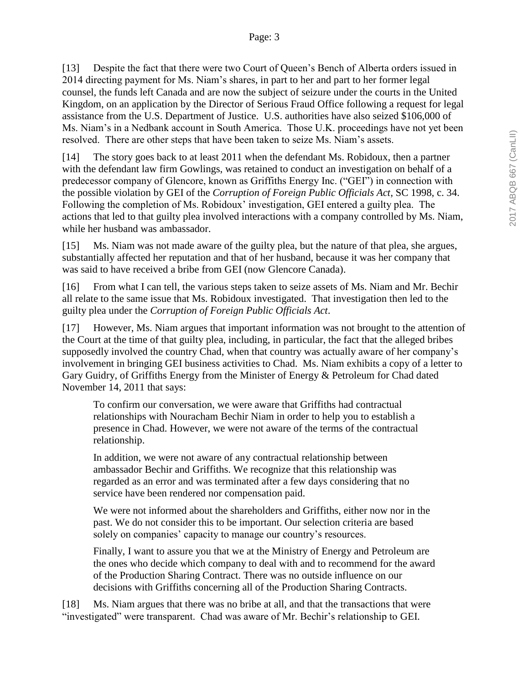[13] Despite the fact that there were two Court of Queen's Bench of Alberta orders issued in 2014 directing payment for Ms. Niam's shares, in part to her and part to her former legal counsel, the funds left Canada and are now the subject of seizure under the courts in the United Kingdom, on an application by the Director of Serious Fraud Office following a request for legal assistance from the U.S. Department of Justice. U.S. authorities have also seized \$106,000 of Ms. Niam's in a Nedbank account in South America. Those U.K. proceedings have not yet been resolved. There are other steps that have been taken to seize Ms. Niam's assets.

[14] The story goes back to at least 2011 when the defendant Ms. Robidoux, then a partner with the defendant law firm Gowlings, was retained to conduct an investigation on behalf of a predecessor company of Glencore, known as Griffiths Energy Inc. ("GEI") in connection with the possible violation by GEI of the *Corruption of Foreign Public Officials Act*, SC 1998, c. 34. Following the completion of Ms. Robidoux' investigation, GEI entered a guilty plea. The actions that led to that guilty plea involved interactions with a company controlled by Ms. Niam, while her husband was ambassador.

[15] Ms. Niam was not made aware of the guilty plea, but the nature of that plea, she argues, substantially affected her reputation and that of her husband, because it was her company that was said to have received a bribe from GEI (now Glencore Canada).

[16] From what I can tell, the various steps taken to seize assets of Ms. Niam and Mr. Bechir all relate to the same issue that Ms. Robidoux investigated. That investigation then led to the guilty plea under the *Corruption of Foreign Public Officials Act*.

[17] However, Ms. Niam argues that important information was not brought to the attention of the Court at the time of that guilty plea, including, in particular, the fact that the alleged bribes supposedly involved the country Chad, when that country was actually aware of her company's involvement in bringing GEI business activities to Chad. Ms. Niam exhibits a copy of a letter to Gary Guidry, of Griffiths Energy from the Minister of Energy & Petroleum for Chad dated November 14, 2011 that says:

To confirm our conversation, we were aware that Griffiths had contractual relationships with Nouracham Bechir Niam in order to help you to establish a presence in Chad. However, we were not aware of the terms of the contractual relationship.

In addition, we were not aware of any contractual relationship between ambassador Bechir and Griffiths. We recognize that this relationship was regarded as an error and was terminated after a few days considering that no service have been rendered nor compensation paid.

We were not informed about the shareholders and Griffiths, either now nor in the past. We do not consider this to be important. Our selection criteria are based solely on companies' capacity to manage our country's resources.

Finally, I want to assure you that we at the Ministry of Energy and Petroleum are the ones who decide which company to deal with and to recommend for the award of the Production Sharing Contract. There was no outside influence on our decisions with Griffiths concerning all of the Production Sharing Contracts.

[18] Ms. Niam argues that there was no bribe at all, and that the transactions that were "investigated" were transparent. Chad was aware of Mr. Bechir's relationship to GEI.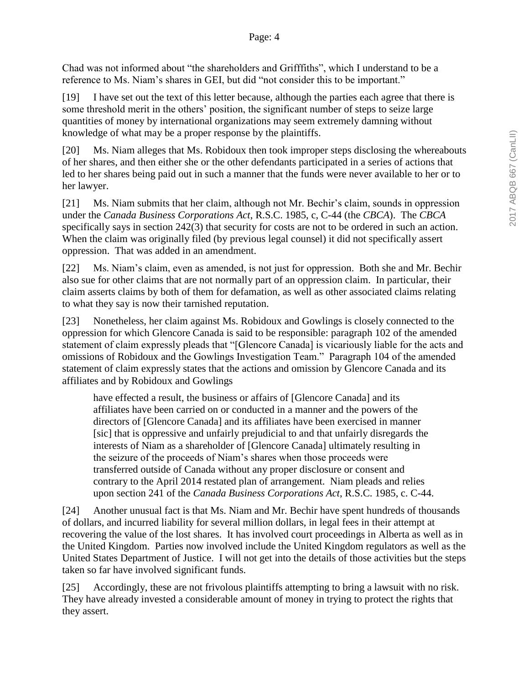Chad was not informed about "the shareholders and Grifffiths", which I understand to be a reference to Ms. Niam's shares in GEI, but did "not consider this to be important."

[19] I have set out the text of this letter because, although the parties each agree that there is some threshold merit in the others' position, the significant number of steps to seize large quantities of money by international organizations may seem extremely damning without knowledge of what may be a proper response by the plaintiffs.

[20] Ms. Niam alleges that Ms. Robidoux then took improper steps disclosing the whereabouts of her shares, and then either she or the other defendants participated in a series of actions that led to her shares being paid out in such a manner that the funds were never available to her or to her lawyer.

[21] Ms. Niam submits that her claim, although not Mr. Bechir's claim, sounds in oppression under the *Canada Business Corporations Act*, R.S.C. 1985, c, C-44 (the *CBCA*). The *CBCA* specifically says in section 242(3) that security for costs are not to be ordered in such an action. When the claim was originally filed (by previous legal counsel) it did not specifically assert oppression. That was added in an amendment.

[22] Ms. Niam's claim, even as amended, is not just for oppression. Both she and Mr. Bechir also sue for other claims that are not normally part of an oppression claim. In particular, their claim asserts claims by both of them for defamation, as well as other associated claims relating to what they say is now their tarnished reputation.

[23] Nonetheless, her claim against Ms. Robidoux and Gowlings is closely connected to the oppression for which Glencore Canada is said to be responsible: paragraph 102 of the amended statement of claim expressly pleads that "[Glencore Canada] is vicariously liable for the acts and omissions of Robidoux and the Gowlings Investigation Team." Paragraph 104 of the amended statement of claim expressly states that the actions and omission by Glencore Canada and its affiliates and by Robidoux and Gowlings

have effected a result, the business or affairs of [Glencore Canada] and its affiliates have been carried on or conducted in a manner and the powers of the directors of [Glencore Canada] and its affiliates have been exercised in manner [sic] that is oppressive and unfairly prejudicial to and that unfairly disregards the interests of Niam as a shareholder of [Glencore Canada] ultimately resulting in the seizure of the proceeds of Niam's shares when those proceeds were transferred outside of Canada without any proper disclosure or consent and contrary to the April 2014 restated plan of arrangement. Niam pleads and relies upon section 241 of the *Canada Business Corporations Act*, R.S.C. 1985, c. C-44.

[24] Another unusual fact is that Ms. Niam and Mr. Bechir have spent hundreds of thousands of dollars, and incurred liability for several million dollars, in legal fees in their attempt at recovering the value of the lost shares. It has involved court proceedings in Alberta as well as in the United Kingdom. Parties now involved include the United Kingdom regulators as well as the United States Department of Justice. I will not get into the details of those activities but the steps taken so far have involved significant funds.

[25] Accordingly, these are not frivolous plaintiffs attempting to bring a lawsuit with no risk. They have already invested a considerable amount of money in trying to protect the rights that they assert.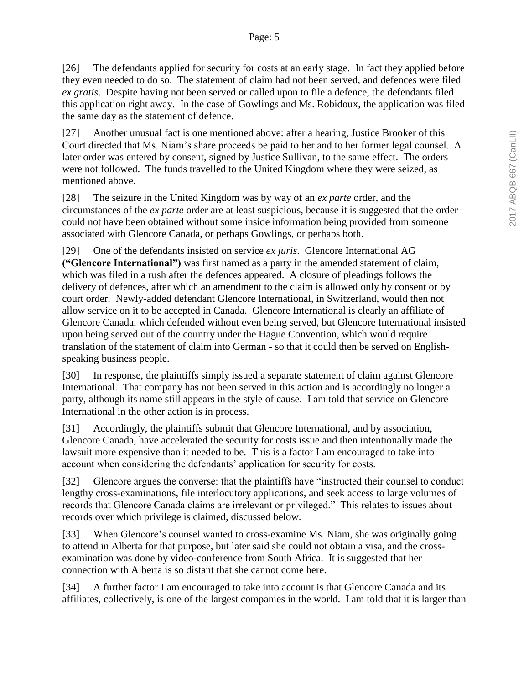[26] The defendants applied for security for costs at an early stage. In fact they applied before they even needed to do so. The statement of claim had not been served, and defences were filed *ex gratis*. Despite having not been served or called upon to file a defence, the defendants filed this application right away. In the case of Gowlings and Ms. Robidoux, the application was filed the same day as the statement of defence.

[27] Another unusual fact is one mentioned above: after a hearing, Justice Brooker of this Court directed that Ms. Niam's share proceeds be paid to her and to her former legal counsel. A later order was entered by consent, signed by Justice Sullivan, to the same effect. The orders were not followed. The funds travelled to the United Kingdom where they were seized, as mentioned above.

[28] The seizure in the United Kingdom was by way of an *ex parte* order, and the circumstances of the *ex parte* order are at least suspicious, because it is suggested that the order could not have been obtained without some inside information being provided from someone associated with Glencore Canada, or perhaps Gowlings, or perhaps both.

[29] One of the defendants insisted on service *ex juris*. Glencore International AG **("Glencore International")** was first named as a party in the amended statement of claim, which was filed in a rush after the defences appeared. A closure of pleadings follows the delivery of defences, after which an amendment to the claim is allowed only by consent or by court order. Newly-added defendant Glencore International, in Switzerland, would then not allow service on it to be accepted in Canada. Glencore International is clearly an affiliate of Glencore Canada, which defended without even being served, but Glencore International insisted upon being served out of the country under the Hague Convention, which would require translation of the statement of claim into German - so that it could then be served on Englishspeaking business people.

[30] In response, the plaintiffs simply issued a separate statement of claim against Glencore International. That company has not been served in this action and is accordingly no longer a party, although its name still appears in the style of cause. I am told that service on Glencore International in the other action is in process.

[31] Accordingly, the plaintiffs submit that Glencore International, and by association, Glencore Canada, have accelerated the security for costs issue and then intentionally made the lawsuit more expensive than it needed to be. This is a factor I am encouraged to take into account when considering the defendants' application for security for costs.

[32] Glencore argues the converse: that the plaintiffs have "instructed their counsel to conduct lengthy cross-examinations, file interlocutory applications, and seek access to large volumes of records that Glencore Canada claims are irrelevant or privileged." This relates to issues about records over which privilege is claimed, discussed below.

[33] When Glencore's counsel wanted to cross-examine Ms. Niam, she was originally going to attend in Alberta for that purpose, but later said she could not obtain a visa, and the crossexamination was done by video-conference from South Africa. It is suggested that her connection with Alberta is so distant that she cannot come here.

[34] A further factor I am encouraged to take into account is that Glencore Canada and its affiliates, collectively, is one of the largest companies in the world. I am told that it is larger than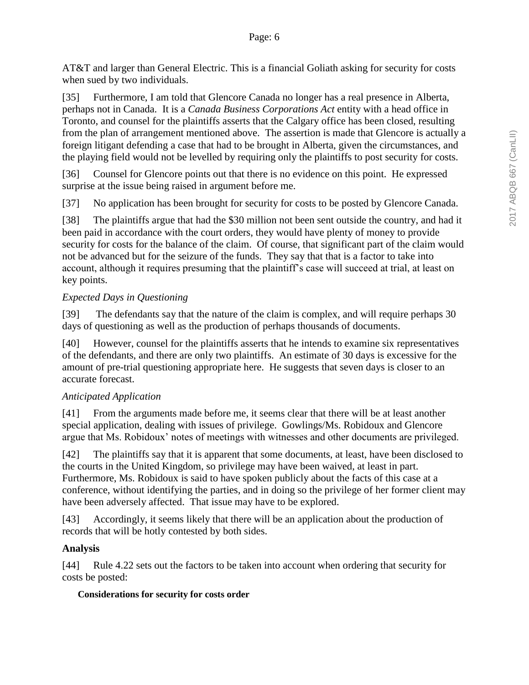AT&T and larger than General Electric. This is a financial Goliath asking for security for costs when sued by two individuals.

[35] Furthermore, I am told that Glencore Canada no longer has a real presence in Alberta, perhaps not in Canada. It is a *Canada Business Corporations Act* entity with a head office in Toronto, and counsel for the plaintiffs asserts that the Calgary office has been closed, resulting from the plan of arrangement mentioned above. The assertion is made that Glencore is actually a foreign litigant defending a case that had to be brought in Alberta, given the circumstances, and the playing field would not be levelled by requiring only the plaintiffs to post security for costs.

[36] Counsel for Glencore points out that there is no evidence on this point. He expressed surprise at the issue being raised in argument before me.

[37] No application has been brought for security for costs to be posted by Glencore Canada.

[38] The plaintiffs argue that had the \$30 million not been sent outside the country, and had it been paid in accordance with the court orders, they would have plenty of money to provide security for costs for the balance of the claim. Of course, that significant part of the claim would not be advanced but for the seizure of the funds. They say that that is a factor to take into account, although it requires presuming that the plaintiff's case will succeed at trial, at least on key points.

## *Expected Days in Questioning*

[39] The defendants say that the nature of the claim is complex, and will require perhaps 30 days of questioning as well as the production of perhaps thousands of documents.

[40] However, counsel for the plaintiffs asserts that he intends to examine six representatives of the defendants, and there are only two plaintiffs. An estimate of 30 days is excessive for the amount of pre-trial questioning appropriate here. He suggests that seven days is closer to an accurate forecast.

## *Anticipated Application*

[41] From the arguments made before me, it seems clear that there will be at least another special application, dealing with issues of privilege. Gowlings/Ms. Robidoux and Glencore argue that Ms. Robidoux' notes of meetings with witnesses and other documents are privileged.

[42] The plaintiffs say that it is apparent that some documents, at least, have been disclosed to the courts in the United Kingdom, so privilege may have been waived, at least in part. Furthermore, Ms. Robidoux is said to have spoken publicly about the facts of this case at a conference, without identifying the parties, and in doing so the privilege of her former client may have been adversely affected. That issue may have to be explored.

[43] Accordingly, it seems likely that there will be an application about the production of records that will be hotly contested by both sides.

## **Analysis**

[44] Rule 4.22 sets out the factors to be taken into account when ordering that security for costs be posted:

## **Considerations for security for costs order**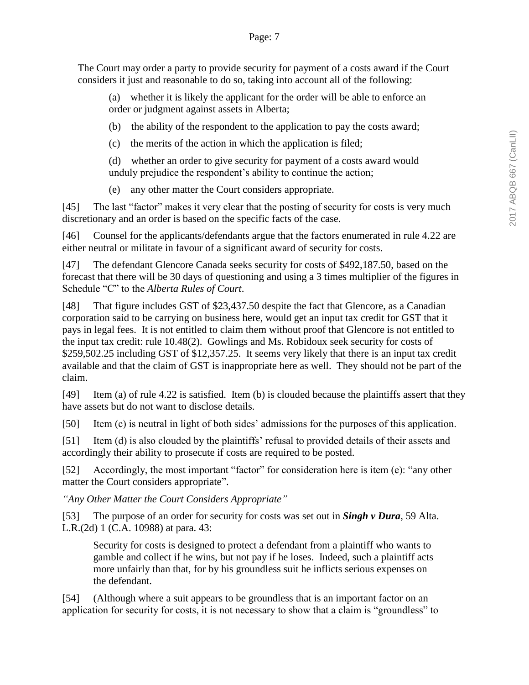The Court may order a party to provide security for payment of a costs award if the Court considers it just and reasonable to do so, taking into account all of the following:

(a) whether it is likely the applicant for the order will be able to enforce an order or judgment against assets in Alberta;

(b) the ability of the respondent to the application to pay the costs award;

(c) the merits of the action in which the application is filed;

(d) whether an order to give security for payment of a costs award would unduly prejudice the respondent's ability to continue the action;

(e) any other matter the Court considers appropriate.

[45] The last "factor" makes it very clear that the posting of security for costs is very much discretionary and an order is based on the specific facts of the case.

[46] Counsel for the applicants/defendants argue that the factors enumerated in rule 4.22 are either neutral or militate in favour of a significant award of security for costs.

[47] The defendant Glencore Canada seeks security for costs of \$492,187.50, based on the forecast that there will be 30 days of questioning and using a 3 times multiplier of the figures in Schedule "C" to the *Alberta Rules of Court*.

[48] That figure includes GST of \$23,437.50 despite the fact that Glencore, as a Canadian corporation said to be carrying on business here, would get an input tax credit for GST that it pays in legal fees. It is not entitled to claim them without proof that Glencore is not entitled to the input tax credit: rule 10.48(2). Gowlings and Ms. Robidoux seek security for costs of \$259,502.25 including GST of \$12,357.25. It seems very likely that there is an input tax credit available and that the claim of GST is inappropriate here as well. They should not be part of the claim.

[49] Item (a) of rule 4.22 is satisfied. Item (b) is clouded because the plaintiffs assert that they have assets but do not want to disclose details.

[50] Item (c) is neutral in light of both sides' admissions for the purposes of this application.

[51] Item (d) is also clouded by the plaintiffs' refusal to provided details of their assets and accordingly their ability to prosecute if costs are required to be posted.

[52] Accordingly, the most important "factor" for consideration here is item (e): "any other matter the Court considers appropriate".

*"Any Other Matter the Court Considers Appropriate"*

[53] The purpose of an order for security for costs was set out in *Singh v Dura*, 59 Alta. L.R.(2d) 1 (C.A. 10988) at para. 43:

Security for costs is designed to protect a defendant from a plaintiff who wants to gamble and collect if he wins, but not pay if he loses. Indeed, such a plaintiff acts more unfairly than that, for by his groundless suit he inflicts serious expenses on the defendant.

[54] (Although where a suit appears to be groundless that is an important factor on an application for security for costs, it is not necessary to show that a claim is "groundless" to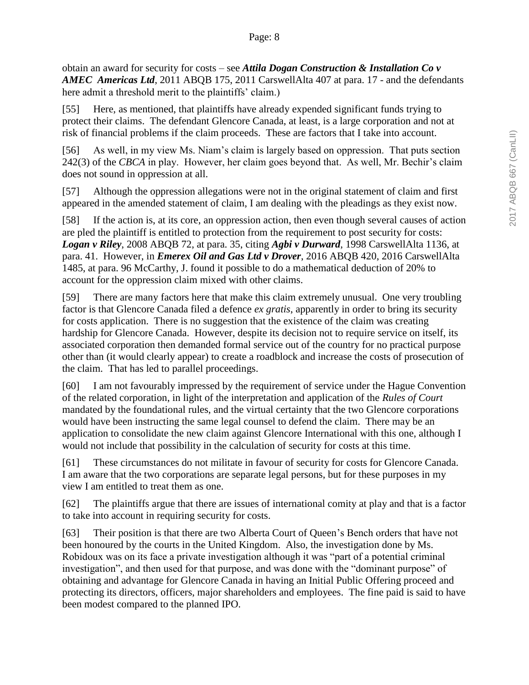obtain an award for security for costs – see *Attila Dogan Construction & Installation Co v AMEC Americas Ltd*, 2011 ABQB 175, 2011 CarswellAlta 407 at para. 17 - and the defendants here admit a threshold merit to the plaintiffs' claim.)

[55] Here, as mentioned, that plaintiffs have already expended significant funds trying to protect their claims. The defendant Glencore Canada, at least, is a large corporation and not at risk of financial problems if the claim proceeds. These are factors that I take into account.

[56] As well, in my view Ms. Niam's claim is largely based on oppression. That puts section 242(3) of the *CBCA* in play. However, her claim goes beyond that. As well, Mr. Bechir's claim does not sound in oppression at all.

[57] Although the oppression allegations were not in the original statement of claim and first appeared in the amended statement of claim, I am dealing with the pleadings as they exist now.

[58] If the action is, at its core, an oppression action, then even though several causes of action are pled the plaintiff is entitled to protection from the requirement to post security for costs: *Logan v Riley*, 2008 ABQB 72, at para. 35, citing *Agbi v Durward*, 1998 CarswellAlta 1136, at para. 41. However, in *Emerex Oil and Gas Ltd v Drover*, 2016 ABQB 420, 2016 CarswellAlta 1485, at para. 96 McCarthy, J. found it possible to do a mathematical deduction of 20% to account for the oppression claim mixed with other claims.

[59] There are many factors here that make this claim extremely unusual. One very troubling factor is that Glencore Canada filed a defence *ex gratis*, apparently in order to bring its security for costs application. There is no suggestion that the existence of the claim was creating hardship for Glencore Canada. However, despite its decision not to require service on itself, its associated corporation then demanded formal service out of the country for no practical purpose other than (it would clearly appear) to create a roadblock and increase the costs of prosecution of the claim. That has led to parallel proceedings.

[60] I am not favourably impressed by the requirement of service under the Hague Convention of the related corporation, in light of the interpretation and application of the *Rules of Court*  mandated by the foundational rules, and the virtual certainty that the two Glencore corporations would have been instructing the same legal counsel to defend the claim. There may be an application to consolidate the new claim against Glencore International with this one, although I would not include that possibility in the calculation of security for costs at this time.

[61] These circumstances do not militate in favour of security for costs for Glencore Canada. I am aware that the two corporations are separate legal persons, but for these purposes in my view I am entitled to treat them as one.

[62] The plaintiffs argue that there are issues of international comity at play and that is a factor to take into account in requiring security for costs.

[63] Their position is that there are two Alberta Court of Queen's Bench orders that have not been honoured by the courts in the United Kingdom. Also, the investigation done by Ms. Robidoux was on its face a private investigation although it was "part of a potential criminal investigation", and then used for that purpose, and was done with the "dominant purpose" of obtaining and advantage for Glencore Canada in having an Initial Public Offering proceed and protecting its directors, officers, major shareholders and employees. The fine paid is said to have been modest compared to the planned IPO.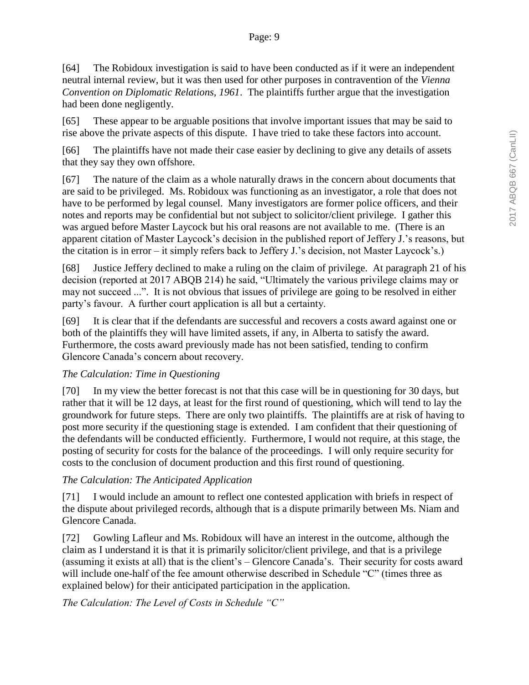[64] The Robidoux investigation is said to have been conducted as if it were an independent neutral internal review, but it was then used for other purposes in contravention of the *Vienna Convention on Diplomatic Relations, 1961*. The plaintiffs further argue that the investigation had been done negligently.

[65] These appear to be arguable positions that involve important issues that may be said to rise above the private aspects of this dispute. I have tried to take these factors into account.

[66] The plaintiffs have not made their case easier by declining to give any details of assets that they say they own offshore.

[67] The nature of the claim as a whole naturally draws in the concern about documents that are said to be privileged. Ms. Robidoux was functioning as an investigator, a role that does not have to be performed by legal counsel. Many investigators are former police officers, and their notes and reports may be confidential but not subject to solicitor/client privilege. I gather this was argued before Master Laycock but his oral reasons are not available to me. (There is an apparent citation of Master Laycock's decision in the published report of Jeffery J.'s reasons, but the citation is in error – it simply refers back to Jeffery J.'s decision, not Master Laycock's.)

[68] Justice Jeffery declined to make a ruling on the claim of privilege. At paragraph 21 of his decision (reported at 2017 ABQB 214) he said, "Ultimately the various privilege claims may or may not succeed ...". It is not obvious that issues of privilege are going to be resolved in either party's favour. A further court application is all but a certainty.

[69] It is clear that if the defendants are successful and recovers a costs award against one or both of the plaintiffs they will have limited assets, if any, in Alberta to satisfy the award. Furthermore, the costs award previously made has not been satisfied, tending to confirm Glencore Canada's concern about recovery.

## *The Calculation: Time in Questioning*

[70] In my view the better forecast is not that this case will be in questioning for 30 days, but rather that it will be 12 days, at least for the first round of questioning, which will tend to lay the groundwork for future steps. There are only two plaintiffs. The plaintiffs are at risk of having to post more security if the questioning stage is extended. I am confident that their questioning of the defendants will be conducted efficiently. Furthermore, I would not require, at this stage, the posting of security for costs for the balance of the proceedings. I will only require security for costs to the conclusion of document production and this first round of questioning.

# *The Calculation: The Anticipated Application*

[71] I would include an amount to reflect one contested application with briefs in respect of the dispute about privileged records, although that is a dispute primarily between Ms. Niam and Glencore Canada.

[72] Gowling Lafleur and Ms. Robidoux will have an interest in the outcome, although the claim as I understand it is that it is primarily solicitor/client privilege, and that is a privilege (assuming it exists at all) that is the client's – Glencore Canada's. Their security for costs award will include one-half of the fee amount otherwise described in Schedule "C" (times three as explained below) for their anticipated participation in the application.

*The Calculation: The Level of Costs in Schedule "C"*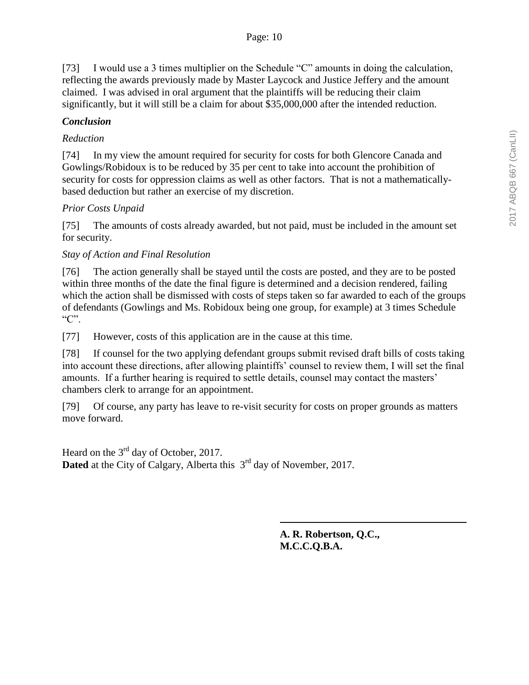[73] I would use a 3 times multiplier on the Schedule "C" amounts in doing the calculation, reflecting the awards previously made by Master Laycock and Justice Jeffery and the amount claimed. I was advised in oral argument that the plaintiffs will be reducing their claim significantly, but it will still be a claim for about \$35,000,000 after the intended reduction.

## *Conclusion*

## *Reduction*

[74] In my view the amount required for security for costs for both Glencore Canada and Gowlings/Robidoux is to be reduced by 35 per cent to take into account the prohibition of security for costs for oppression claims as well as other factors. That is not a mathematicallybased deduction but rather an exercise of my discretion.

## *Prior Costs Unpaid*

[75] The amounts of costs already awarded, but not paid, must be included in the amount set for security.

## *Stay of Action and Final Resolution*

[76] The action generally shall be stayed until the costs are posted, and they are to be posted within three months of the date the final figure is determined and a decision rendered, failing which the action shall be dismissed with costs of steps taken so far awarded to each of the groups of defendants (Gowlings and Ms. Robidoux being one group, for example) at 3 times Schedule "C".

[77] However, costs of this application are in the cause at this time.

[78] If counsel for the two applying defendant groups submit revised draft bills of costs taking into account these directions, after allowing plaintiffs' counsel to review them, I will set the final amounts. If a further hearing is required to settle details, counsel may contact the masters' chambers clerk to arrange for an appointment.

[79] Of course, any party has leave to re-visit security for costs on proper grounds as matters move forward.

Heard on the  $3<sup>rd</sup>$  day of October, 2017. **Dated** at the City of Calgary, Alberta this 3<sup>rd</sup> day of November, 2017.

> **A. R. Robertson, Q.C., M.C.C.Q.B.A.**